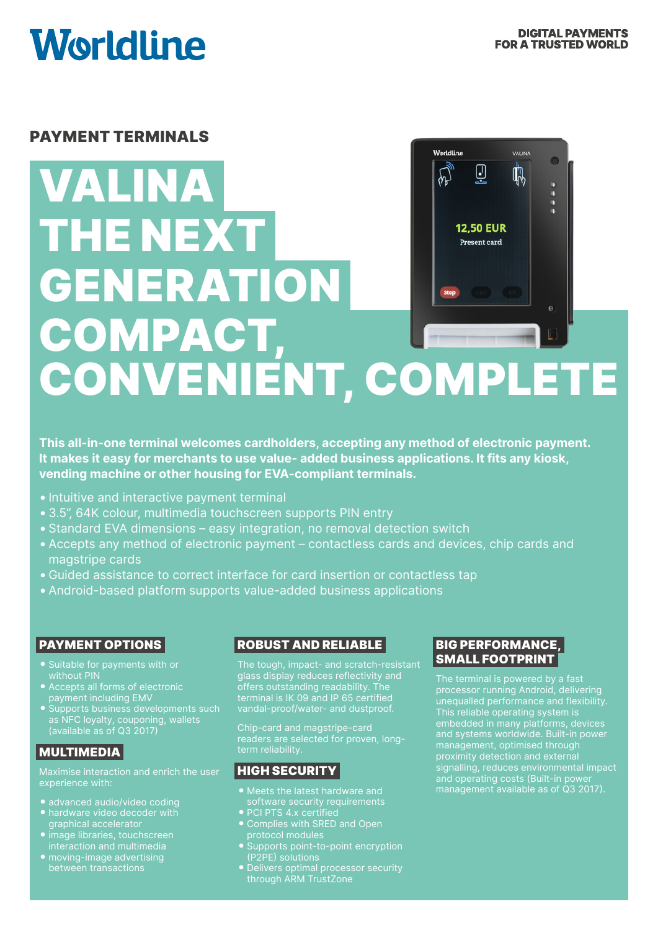VALINA

**Worldline** 

# **Worldline**

# PAYMENT TERMINALS

# 0 Ū ₿  $\sum_{n}$ VALINA п THE NEXT **12.50 EUR** Present card **GENERATION**  $\epsilon$ COMPACT, CONVENIENT, COMPLETE

**This all-in-one terminal welcomes cardholders, accepting any method of electronic payment. It makes it easy for merchants to use value- added business applications. It fits any kiosk, vending machine or other housing for EVA-compliant terminals.**

- Intuitive and interactive payment terminal
- •3.5", 64K colour, multimedia touchscreen supports PIN entry
- •Standard EVA dimensions easy integration, no removal detection switch
- •Accepts any method of electronic payment contactless cards and devices, chip cards and magstripe cards
- Guided assistance to correct interface for card insertion or contactless tap
- •Android-based platform supports value-added business applications

## PAYMENT OPTIONS

- 
- without PIN Accepts all forms of electronic payment including EMV
- Supports business developments such as NFC loyalty, couponing, wallets (available as of Q3 2017)

#### MULTIMEDIA

Maximise interaction and enrich the user experience with:

- advanced audio/video coding
- 
- graphical accelerator image libraries, touchscreen interaction and multimedia
- moving-image advertising

# ROBUST AND RELIABLE

The tough, impact- and scratch-resistant glass display reduces reflectivity and offers outstanding readability. The terminal is IK 09 and IP 65 certified vandal-proof/water- and dustproof.

Chip-card and magstripe-card term reliability.

# HIGH SECURITY

- Meets the latest hardware and
- PCI PTS 4.x certified
- protocol modules
- Supports point-to-point encryption
- through ARM TrustZone

## BIG PERFORMANCE, SMALL FOOTPRINT

The terminal is powered by a fast unequalled performance and flexibility. This reliable operating system is embedded in many platforms, devices and systems worldwide. Built-in power management, optimised through proximity detection and external signalling, reduces environmental impact and operating costs (Built-in power management available as of Q3 2017).